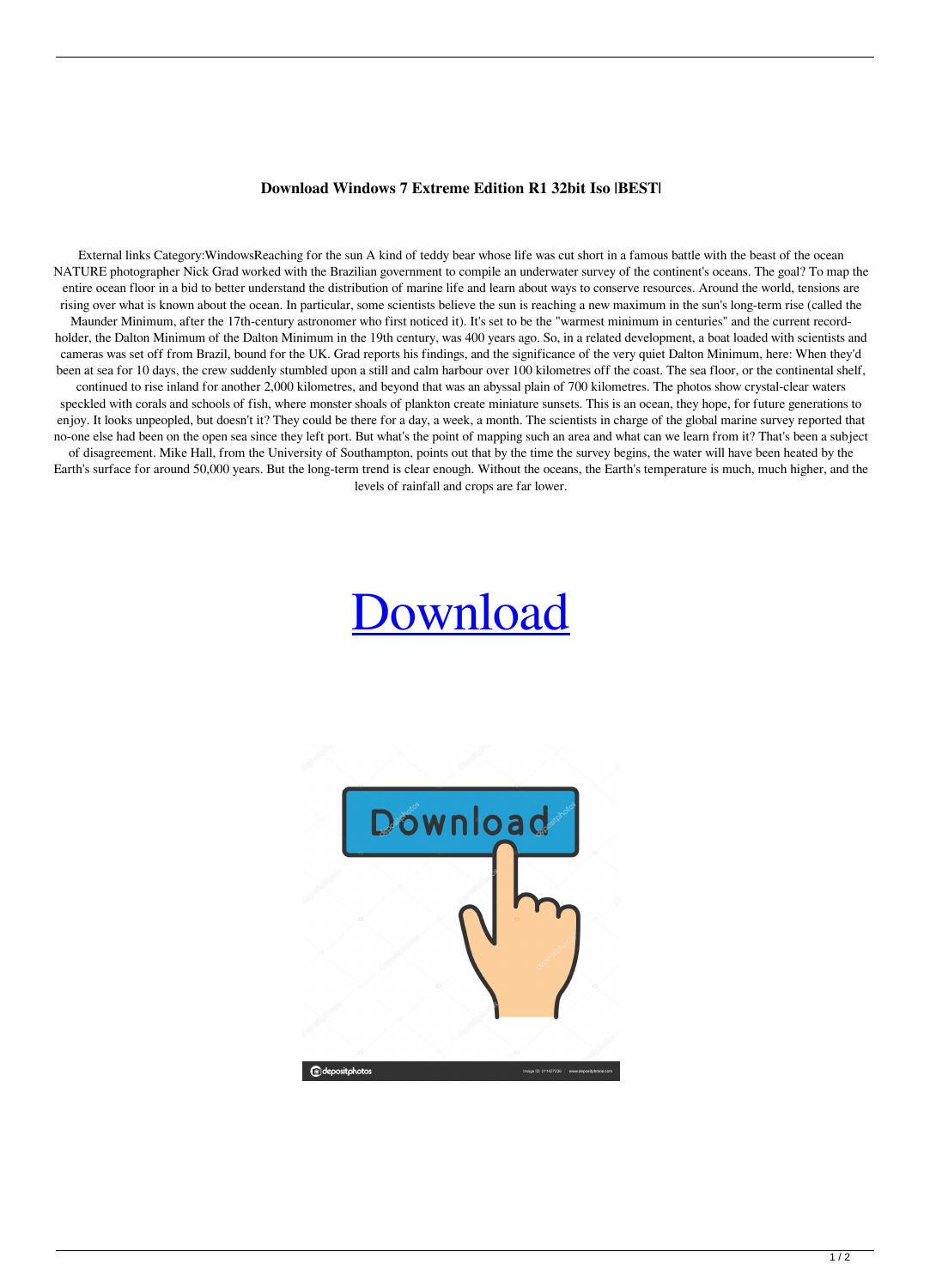## **Download Windows 7 Extreme Edition R1 32bit Iso |BEST|**

External links Category:WindowsReaching for the sun A kind of teddy bear whose life was cut short in a famous battle with the beast of the ocean NATURE photographer Nick Grad worked with the Brazilian government to compile an underwater survey of the continent's oceans. The goal? To map the entire ocean floor in a bid to better understand the distribution of marine life and learn about ways to conserve resources. Around the world, tensions are rising over what is known about the ocean. In particular, some scientists believe the sun is reaching a new maximum in the sun's long-term rise (called the Maunder Minimum, after the 17th-century astronomer who first noticed it). It's set to be the "warmest minimum in centuries" and the current recordholder, the Dalton Minimum of the Dalton Minimum in the 19th century, was 400 years ago. So, in a related development, a boat loaded with scientists and cameras was set off from Brazil, bound for the UK. Grad reports his findings, and the significance of the very quiet Dalton Minimum, here: When they'd been at sea for 10 days, the crew suddenly stumbled upon a still and calm harbour over 100 kilometres off the coast. The sea floor, or the continental shelf, continued to rise inland for another 2,000 kilometres, and beyond that was an abyssal plain of 700 kilometres. The photos show crystal-clear waters speckled with corals and schools of fish, where monster shoals of plankton create miniature sunsets. This is an ocean, they hope, for future generations to enjoy. It looks unpeopled, but doesn't it? They could be there for a day, a week, a month. The scientists in charge of the global marine survey reported that no-one else had been on the open sea since they left port. But what's the point of mapping such an area and what can we learn from it? That's been a subject of disagreement. Mike Hall, from the University of Southampton, points out that by the time the survey begins, the water will have been heated by the Earth's surface for around 50,000 years. But the long-term trend is clear enough. Without the oceans, the Earth's temperature is much, much higher, and the levels of rainfall and crops are far lower.

## [Download](https://shurll.com/2l1bqx)